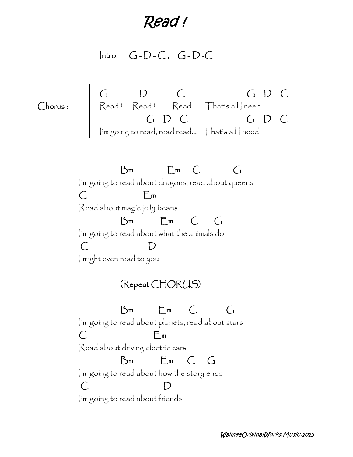*Read !*

**Intro**: **G - D - C , G - D -C**

**G D C G D C Chorus :** | Kead ! Kead ! Kead ! | hat's all | need **G D C G D C** I'm going to read, read read… That's all I need **Bm Em C G** I'm going to read about dragons, read about queens **C Em** Read about magic jelly beans **Bm Em C G** I'm going to read about what the animals do **C D** I might even read to you **(Repeat CHORUS) Bm Em C G** I'm going to read about planets, read about stars **C Em** Read about driving electric cars **Bm Em C G** I'm going to read about how the story ends **C D** I'm going to read about friends